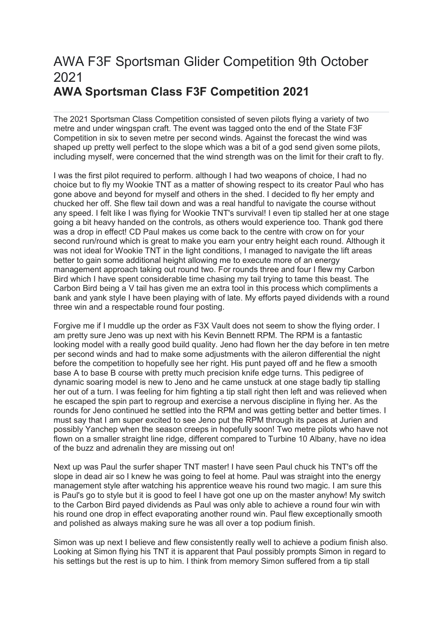## AWA F3F Sportsman Glider Competition 9th October 2021 AWA Sportsman Class F3F Competition 2021

The 2021 Sportsman Class Competition consisted of seven pilots flying a variety of two metre and under wingspan craft. The event was tagged onto the end of the State F3F Competition in six to seven metre per second winds. Against the forecast the wind was shaped up pretty well perfect to the slope which was a bit of a god send given some pilots, including myself, were concerned that the wind strength was on the limit for their craft to fly.

I was the first pilot required to perform. although I had two weapons of choice, I had no choice but to fly my Wookie TNT as a matter of showing respect to its creator Paul who has gone above and beyond for myself and others in the shed. I decided to fly her empty and chucked her off. She flew tail down and was a real handful to navigate the course without any speed. I felt like I was flying for Wookie TNT's survival! I even tip stalled her at one stage going a bit heavy handed on the controls, as others would experience too. Thank god there was a drop in effect! CD Paul makes us come back to the centre with crow on for your second run/round which is great to make you earn your entry height each round. Although it was not ideal for Wookie TNT in the light conditions, I managed to navigate the lift areas better to gain some additional height allowing me to execute more of an energy management approach taking out round two. For rounds three and four I flew my Carbon Bird which I have spent considerable time chasing my tail trying to tame this beast. The Carbon Bird being a V tail has given me an extra tool in this process which compliments a bank and yank style I have been playing with of late. My efforts payed dividends with a round three win and a respectable round four posting.

Forgive me if I muddle up the order as F3X Vault does not seem to show the flying order. I am pretty sure Jeno was up next with his Kevin Bennett RPM. The RPM is a fantastic looking model with a really good build quality. Jeno had flown her the day before in ten metre per second winds and had to make some adjustments with the aileron differential the night before the competition to hopefully see her right. His punt payed off and he flew a smooth base A to base B course with pretty much precision knife edge turns. This pedigree of dynamic soaring model is new to Jeno and he came unstuck at one stage badly tip stalling her out of a turn. I was feeling for him fighting a tip stall right then left and was relieved when he escaped the spin part to regroup and exercise a nervous discipline in flying her. As the rounds for Jeno continued he settled into the RPM and was getting better and better times. I must say that I am super excited to see Jeno put the RPM through its paces at Jurien and possibly Yanchep when the season creeps in hopefully soon! Two metre pilots who have not flown on a smaller straight line ridge, different compared to Turbine 10 Albany, have no idea of the buzz and adrenalin they are missing out on!

Next up was Paul the surfer shaper TNT master! I have seen Paul chuck his TNT's off the slope in dead air so I knew he was going to feel at home. Paul was straight into the energy management style after watching his apprentice weave his round two magic. I am sure this is Paul's go to style but it is good to feel I have got one up on the master anyhow! My switch to the Carbon Bird payed dividends as Paul was only able to achieve a round four win with his round one drop in effect evaporating another round win. Paul flew exceptionally smooth and polished as always making sure he was all over a top podium finish.

Simon was up next I believe and flew consistently really well to achieve a podium finish also. Looking at Simon flying his TNT it is apparent that Paul possibly prompts Simon in regard to his settings but the rest is up to him. I think from memory Simon suffered from a tip stall